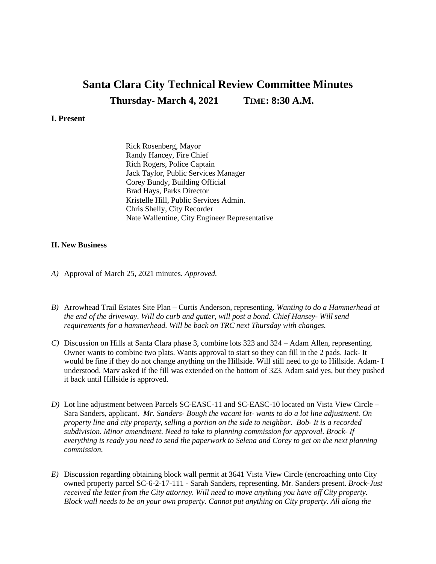## **Santa Clara City Technical Review Committee Minutes Thursday- March 4, 2021 TIME: 8:30 A.M.**

## **I. Present**

Rick Rosenberg, Mayor Randy Hancey, Fire Chief Rich Rogers, Police Captain Jack Taylor, Public Services Manager Corey Bundy, Building Official Brad Hays, Parks Director Kristelle Hill, Public Services Admin. Chris Shelly, City Recorder Nate Wallentine, City Engineer Representative

## **II. New Business**

- *A)* Approval of March 25, 2021 minutes. *Approved.*
- *B)* Arrowhead Trail Estates Site Plan Curtis Anderson, representing. *Wanting to do a Hammerhead at the end of the driveway. Will do curb and gutter, will post a bond. Chief Hansey- Will send requirements for a hammerhead. Will be back on TRC next Thursday with changes.*
- *C)* Discussion on Hills at Santa Clara phase 3, combine lots 323 and 324 Adam Allen, representing. Owner wants to combine two plats. Wants approval to start so they can fill in the 2 pads. Jack- It would be fine if they do not change anything on the Hillside. Will still need to go to Hillside. Adam- I understood. Marv asked if the fill was extended on the bottom of 323. Adam said yes, but they pushed it back until Hillside is approved.
- *D)* Lot line adjustment between Parcels SC-EASC-11 and SC-EASC-10 located on Vista View Circle Sara Sanders, applicant. *Mr. Sanders- Bough the vacant lot- wants to do a lot line adjustment. On property line and city property, selling a portion on the side to neighbor. Bob- It is a recorded subdivision. Minor amendment. Need to take to planning commission for approval. Brock- If everything is ready you need to send the paperwork to Selena and Corey to get on the next planning commission.*
- *E)* Discussion regarding obtaining block wall permit at 3641 Vista View Circle (encroaching onto City owned property parcel SC-6-2-17-111 - Sarah Sanders, representing. Mr. Sanders present. *Brock-Just received the letter from the City attorney. Will need to move anything you have off City property. Block wall needs to be on your own property. Cannot put anything on City property. All along the*